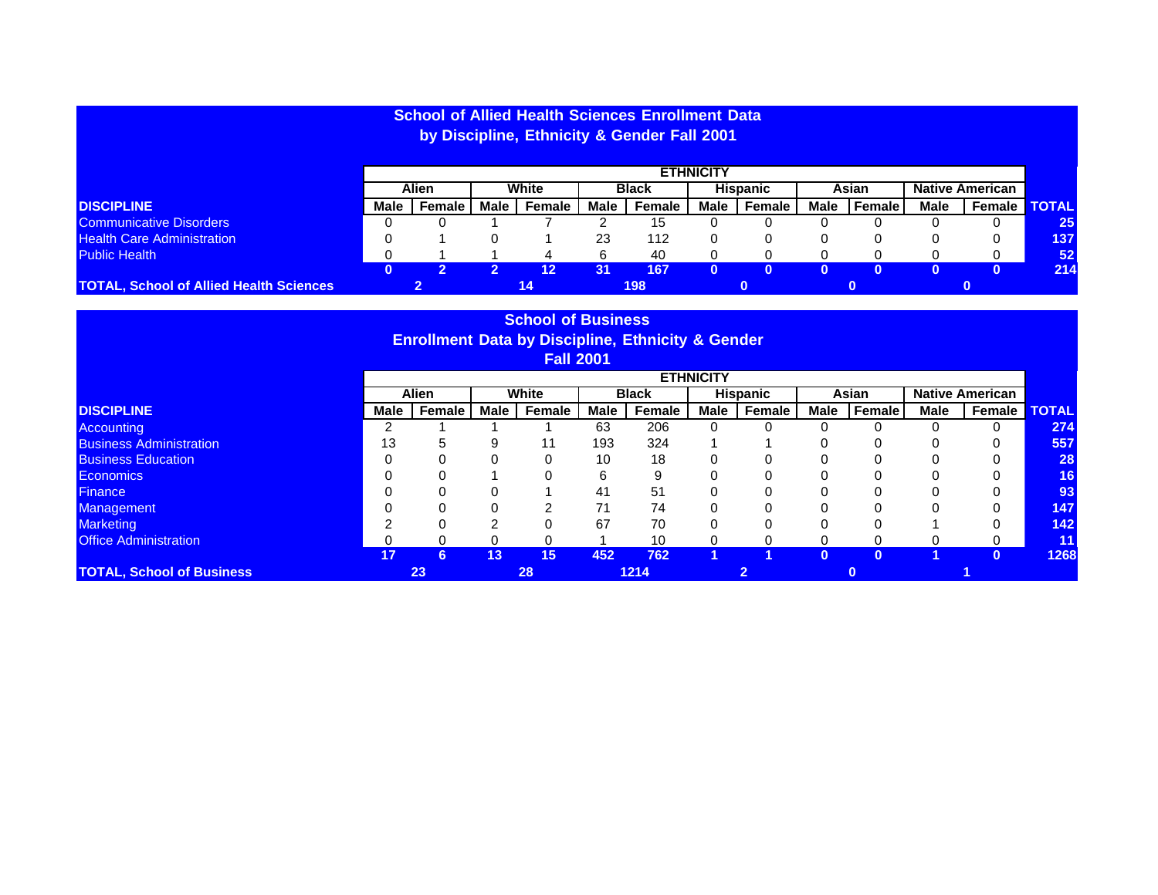| by Discipline, Ethnicity & Gender Fall 2001    |      |              |             |        |      |              |                  |                 |      |               |             |                        |                 |
|------------------------------------------------|------|--------------|-------------|--------|------|--------------|------------------|-----------------|------|---------------|-------------|------------------------|-----------------|
|                                                |      |              |             |        |      |              | <b>ETHNICITY</b> |                 |      |               |             |                        |                 |
|                                                |      | <b>Alien</b> |             | White  |      | <b>Black</b> |                  | <b>Hispanic</b> |      | Asian         |             | <b>Native American</b> |                 |
| <b>DISCIPLINE</b>                              | Male | Female       | <b>Male</b> | Female | Male | Female       | Male             | Female          | Male | <b>Female</b> | <b>Male</b> | Female                 | <b>TOTAL</b>    |
| <b>Communicative Disorders</b>                 |      |              |             |        |      | 15           |                  |                 |      |               |             |                        | 25 <sub>2</sub> |
| <b>Health Care Administration</b>              |      |              |             |        | 23   | 112          |                  |                 |      |               |             |                        | 137             |
| <b>Public Health</b>                           |      |              |             |        |      | 40           |                  |                 |      |               |             |                        | 52              |
|                                                |      |              |             | 12     | 31   | 167          |                  |                 |      |               |             |                        | 214             |
| <b>TOTAL, School of Allied Health Sciences</b> |      |              |             | 14     |      | 198          |                  |                 |      |               |             | $\bf{0}$               |                 |

**School of Allied Health Sciences Enrollment Data**

|                                                                                             |                                                                                                                               |    |    | <b>School of Business</b> |     |                                                              |   |   |  |          |  |   |      |
|---------------------------------------------------------------------------------------------|-------------------------------------------------------------------------------------------------------------------------------|----|----|---------------------------|-----|--------------------------------------------------------------|---|---|--|----------|--|---|------|
|                                                                                             |                                                                                                                               |    |    |                           |     | <b>Enrollment Data by Discipline, Ethnicity &amp; Gender</b> |   |   |  |          |  |   |      |
|                                                                                             |                                                                                                                               |    |    | <b>Fall 2001</b>          |     |                                                              |   |   |  |          |  |   |      |
|                                                                                             | <b>ETHNICITY</b>                                                                                                              |    |    |                           |     |                                                              |   |   |  |          |  |   |      |
| White<br><b>Hispanic</b><br><b>Native American</b><br><b>Alien</b><br><b>Black</b><br>Asian |                                                                                                                               |    |    |                           |     |                                                              |   |   |  |          |  |   |      |
| <b>DISCIPLINE</b>                                                                           | Female<br>Female<br>Female<br>Female<br><b>Male</b><br>Female<br><b>Male</b><br><b>Male</b><br>Female<br>Male<br>Male<br>Male |    |    |                           |     |                                                              |   |   |  |          |  |   |      |
| <b>Accounting</b>                                                                           |                                                                                                                               |    |    |                           | 63  | 206                                                          | O |   |  |          |  |   | 274  |
| <b>Business Administration</b>                                                              | 13                                                                                                                            |    |    | 11                        | 193 | 324                                                          |   |   |  |          |  |   | 557  |
| <b>Business Education</b>                                                                   |                                                                                                                               |    |    |                           | 10  | 18                                                           |   |   |  |          |  |   | 28   |
| <b>Economics</b>                                                                            |                                                                                                                               |    |    |                           |     |                                                              |   |   |  |          |  |   | 16   |
| <b>Finance</b>                                                                              |                                                                                                                               |    |    |                           | 41  | 51                                                           |   |   |  |          |  |   | 93   |
| <b>Management</b>                                                                           |                                                                                                                               |    |    |                           | 71  | 74                                                           |   |   |  |          |  |   | 147  |
| <b>Marketing</b>                                                                            |                                                                                                                               |    |    |                           | 67  | 70                                                           |   |   |  |          |  |   | 142  |
| <b>Office Administration</b>                                                                |                                                                                                                               |    |    |                           |     | 10                                                           |   |   |  |          |  |   | 11   |
|                                                                                             | 17                                                                                                                            | 6  | 13 | 15                        | 452 | 762                                                          |   |   |  | $\bf{0}$ |  | O | 1268 |
| <b>TOTAL, School of Business</b>                                                            |                                                                                                                               | 23 |    | 28                        |     | 1214                                                         |   | 2 |  |          |  |   |      |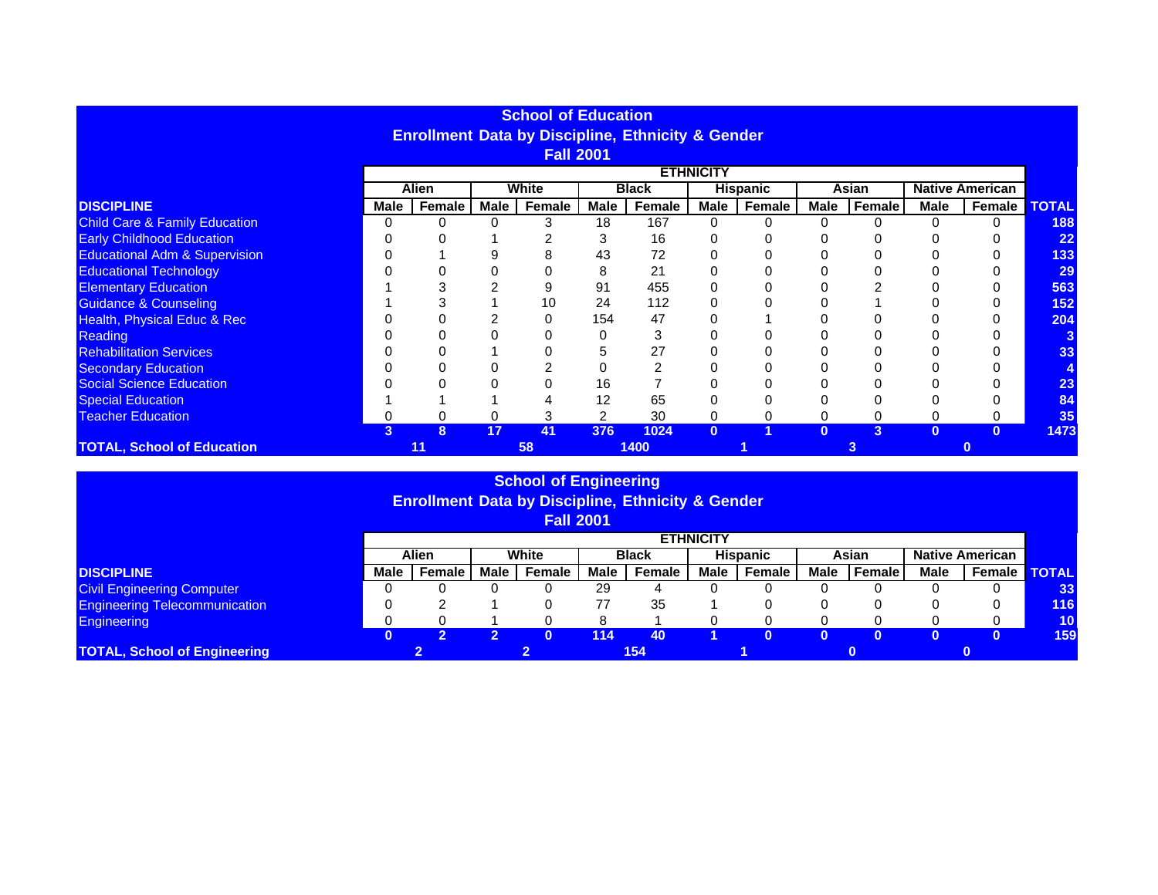|                                          | <b>School of Education</b><br><b>Enrollment Data by Discipline, Ethnicity &amp; Gender</b> |                  |             |        |      |              |                  |                 |             |               |             |                        |                 |  |
|------------------------------------------|--------------------------------------------------------------------------------------------|------------------|-------------|--------|------|--------------|------------------|-----------------|-------------|---------------|-------------|------------------------|-----------------|--|
|                                          |                                                                                            | <b>Fall 2001</b> |             |        |      |              |                  |                 |             |               |             |                        |                 |  |
|                                          |                                                                                            |                  |             |        |      |              | <b>ETHNICITY</b> |                 |             |               |             |                        |                 |  |
|                                          |                                                                                            | Alien            |             | White  |      | <b>Black</b> |                  | <b>Hispanic</b> |             | Asian         |             | <b>Native American</b> |                 |  |
| <b>DISCIPLINE</b>                        | Male                                                                                       | Female           | <b>Male</b> | Female | Male | Female       | Male             | Female          | <b>Male</b> | <b>Female</b> | <b>Male</b> | Female                 | <b>TOTAL</b>    |  |
| <b>Child Care &amp; Family Education</b> |                                                                                            |                  |             |        | 18   | 167          | <sup>0</sup>     |                 |             |               |             | $\Omega$               | 188             |  |
| <b>Early Childhood Education</b>         |                                                                                            |                  |             |        |      | 16           |                  |                 |             |               |             |                        | 22 <sub>2</sub> |  |
| <b>Educational Adm &amp; Supervision</b> |                                                                                            |                  |             |        | 43   | 72           |                  |                 |             |               |             |                        | 133             |  |
| <b>Educational Technology</b>            |                                                                                            |                  |             |        |      | 21           |                  |                 |             |               |             |                        | 29              |  |
| <b>Elementary Education</b>              |                                                                                            |                  |             |        | 91   | 455          |                  |                 |             |               |             |                        | 563             |  |
| <b>Guidance &amp; Counseling</b>         |                                                                                            |                  |             | 10     | 24   | 112          |                  |                 |             |               |             |                        | 152             |  |
| Health, Physical Educ & Rec              |                                                                                            |                  |             |        | 154  | 47           |                  |                 |             |               |             |                        | 204             |  |
| <b>Reading</b>                           |                                                                                            |                  |             |        |      | 3            |                  |                 |             |               |             |                        | 3               |  |
| <b>Rehabilitation Services</b>           |                                                                                            |                  |             |        |      | 27           |                  |                 |             |               |             |                        | 33              |  |
| <b>Secondary Education</b>               |                                                                                            |                  |             |        |      |              |                  |                 |             |               |             |                        |                 |  |
| <b>Social Science Education</b>          |                                                                                            |                  |             |        | 16   |              |                  |                 |             |               |             |                        | 23              |  |
| <b>Special Education</b>                 |                                                                                            |                  |             |        | 12   | 65           |                  |                 |             |               |             |                        | 84              |  |
| <b>Teacher Education</b>                 |                                                                                            |                  |             |        |      | 30           |                  |                 |             |               |             |                        | 35              |  |
|                                          |                                                                                            | 8                | 17          | 41     | 376  | 1024         |                  |                 |             | 3             |             | $\Omega$               | 1473            |  |
| <b>TOTAL, School of Education</b>        |                                                                                            | 11               |             | 58     |      | 1400         |                  |                 |             |               |             |                        |                 |  |

|                                                                   |      |        |      | <b>School of Engineering</b><br><b>Fall 2001</b> |      | <b>Enrollment Data by Discipline, Ethnicity &amp; Gender</b> |                  |        |      |               |      |                        |                 |  |
|-------------------------------------------------------------------|------|--------|------|--------------------------------------------------|------|--------------------------------------------------------------|------------------|--------|------|---------------|------|------------------------|-----------------|--|
|                                                                   |      |        |      |                                                  |      |                                                              | <b>ETHNICITY</b> |        |      |               |      |                        |                 |  |
| White<br><b>Alien</b><br>Asian<br><b>Black</b><br><b>Hispanic</b> |      |        |      |                                                  |      |                                                              |                  |        |      |               |      | <b>Native American</b> |                 |  |
| <b>DISCIPLINE</b>                                                 | Male | Female | Male | Female                                           | Male | Female                                                       | Male             | Female | Male | <b>Female</b> | Male | Female <b>TOTAL</b>    |                 |  |
| <b>Civil Engineering Computer</b>                                 |      |        |      |                                                  | 29   |                                                              |                  |        |      |               |      |                        | 33              |  |
| <b>Engineering Telecommunication</b>                              |      |        |      |                                                  | 77   | 35                                                           |                  |        |      |               |      |                        | 116             |  |
| <b>Engineering</b>                                                |      |        |      |                                                  |      |                                                              |                  |        |      |               |      |                        | 10 <sup>°</sup> |  |
|                                                                   |      | ົ      |      |                                                  | 114  | 40                                                           |                  |        |      |               |      |                        | 159             |  |
| <b>TOTAL, School of Engineering</b>                               |      |        |      |                                                  |      | 154                                                          |                  |        |      |               |      |                        |                 |  |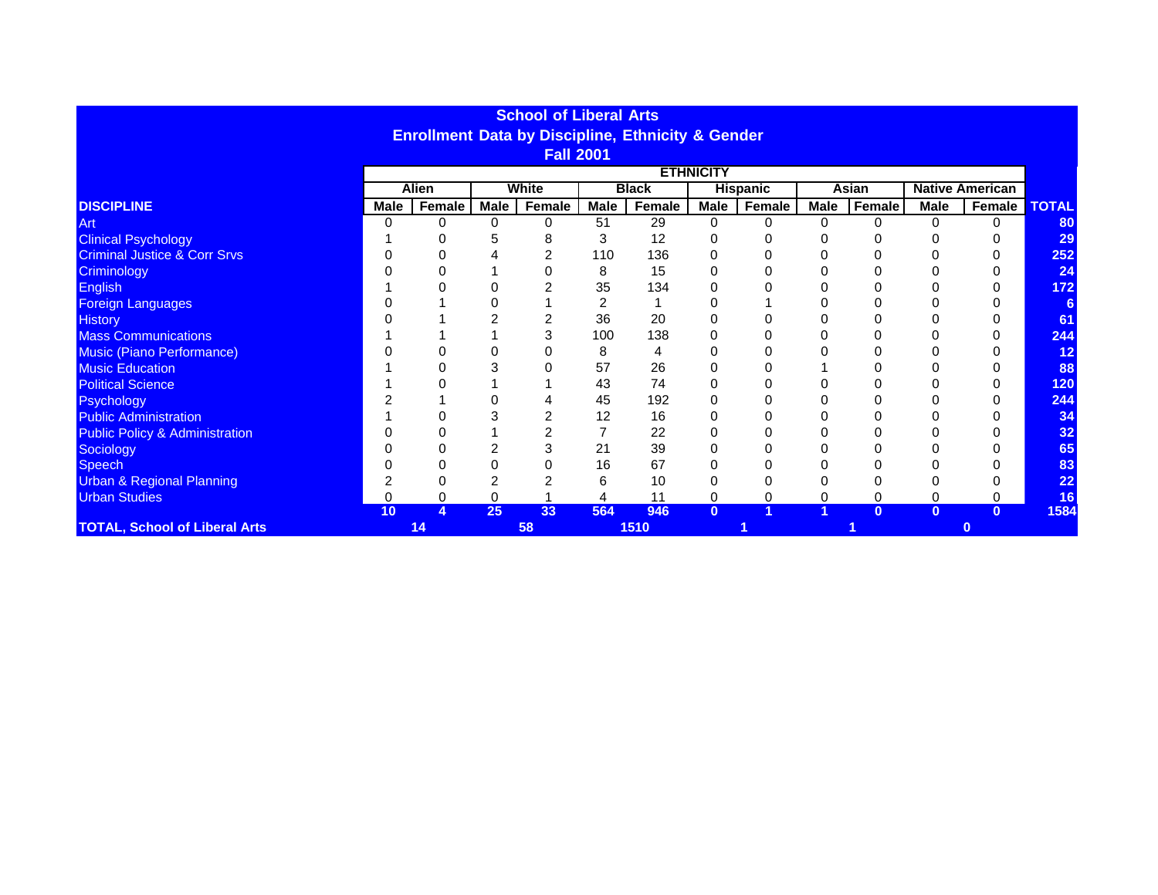| <b>School of Liberal Arts</b>             |             |              |          |                  |             |                                                              |                  |                 |             |              |          |                        |                 |
|-------------------------------------------|-------------|--------------|----------|------------------|-------------|--------------------------------------------------------------|------------------|-----------------|-------------|--------------|----------|------------------------|-----------------|
|                                           |             |              |          |                  |             | <b>Enrollment Data by Discipline, Ethnicity &amp; Gender</b> |                  |                 |             |              |          |                        |                 |
|                                           |             |              |          | <b>Fall 2001</b> |             |                                                              |                  |                 |             |              |          |                        |                 |
|                                           |             |              |          |                  |             |                                                              | <b>ETHNICITY</b> |                 |             |              |          |                        |                 |
|                                           |             | <b>Alien</b> |          | White            |             | <b>Black</b>                                                 |                  | <b>Hispanic</b> |             | Asian        |          | <b>Native American</b> |                 |
| <b>DISCIPLINE</b>                         | <b>Male</b> | Female       | Male     | Female           | <b>Male</b> | Female                                                       | Male             | Female          | <b>Male</b> | Female       | Male     | Female                 | <b>TOTAL</b>    |
| Art                                       |             | 0            | $\Omega$ | $\Omega$         | 51          | 29                                                           | $\Omega$         | $\Omega$        | $\Omega$    | U            | 0        | $\Omega$               | 80              |
| <b>Clinical Psychology</b>                |             |              | 5        | 8                | 3           | 12                                                           |                  |                 |             |              |          |                        | 29              |
| <b>Criminal Justice &amp; Corr Srvs</b>   |             |              |          |                  | 110         | 136                                                          |                  |                 |             |              |          |                        | 252             |
| Criminology                               |             |              |          |                  | 8           | 15                                                           |                  |                 |             |              |          |                        | 24              |
| <b>English</b>                            |             |              |          |                  | 35          | 134                                                          |                  |                 |             |              |          |                        | 172             |
| <b>Foreign Languages</b>                  |             |              |          |                  |             |                                                              |                  |                 |             |              |          |                        |                 |
| <b>History</b>                            |             |              |          |                  | 36          | 20                                                           |                  |                 |             |              |          |                        | 61              |
| <b>Mass Communications</b>                |             |              |          | 3                | 100         | 138                                                          |                  |                 |             |              |          |                        | 244             |
| <b>Music (Piano Performance)</b>          |             |              |          |                  | 8           | 4                                                            |                  |                 |             |              |          |                        | $\overline{12}$ |
| <b>Music Education</b>                    |             |              |          |                  | 57          | 26                                                           |                  |                 |             |              |          |                        | 88              |
| <b>Political Science</b>                  |             |              |          |                  | 43          | 74                                                           |                  |                 |             |              |          |                        | 120             |
| <b>Psychology</b>                         |             |              |          |                  | 45          | 192                                                          |                  |                 |             |              |          |                        | 244             |
| <b>Public Administration</b>              |             |              |          |                  | 12          | 16                                                           |                  |                 |             |              |          |                        | 34              |
| <b>Public Policy &amp; Administration</b> |             |              |          |                  |             | 22                                                           |                  |                 |             |              |          |                        | 32              |
| Sociology                                 |             |              |          |                  | 21          | 39                                                           |                  |                 |             |              |          |                        | 65              |
| Speech                                    |             |              |          |                  | 16          | 67                                                           |                  |                 |             |              |          |                        | 83              |
| <b>Urban &amp; Regional Planning</b>      |             |              |          |                  | 6           | 10                                                           |                  |                 |             |              |          |                        | 22              |
| <b>Urban Studies</b>                      |             |              | 0        |                  |             | 11                                                           |                  |                 |             |              | 0        |                        | 16              |
|                                           | 10          |              | 25       | 33               | 564         | 946                                                          | $\bf{0}$         |                 |             | $\mathbf{0}$ | $\bf{0}$ | $\bf{0}$               | 1584            |
| <b>TOTAL, School of Liberal Arts</b>      |             | 14           |          | 58               |             | 1510                                                         |                  |                 |             |              |          | $\bf{0}$               |                 |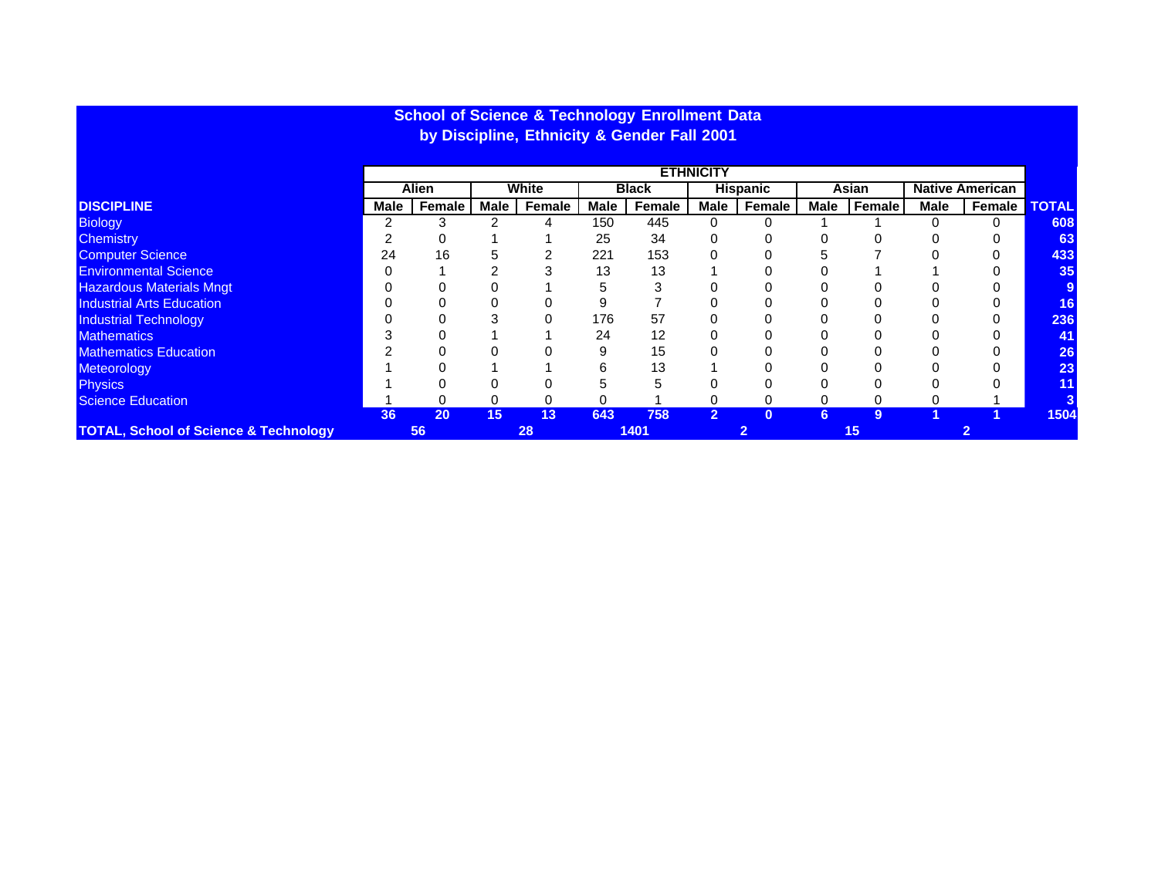|                                                  | <b>ETHNICITY</b> |              |                 |        |      |              |                       |                 |             |        |             |                        |              |
|--------------------------------------------------|------------------|--------------|-----------------|--------|------|--------------|-----------------------|-----------------|-------------|--------|-------------|------------------------|--------------|
|                                                  |                  | <b>Alien</b> |                 | White  |      | <b>Black</b> |                       | <b>Hispanic</b> |             | Asian  |             | <b>Native American</b> |              |
| <b>DISCIPLINE</b>                                | Male             | Female       | Male            | Female | Male | Female       | Male                  | Female          | <b>Male</b> | Female | <b>Male</b> | Female                 | <b>TOTAL</b> |
| <b>Biology</b>                                   |                  |              |                 |        | 150  | 445          |                       |                 |             |        |             |                        | 608          |
| <b>Chemistry</b>                                 |                  |              |                 |        | 25   | 34           |                       |                 |             |        |             |                        | 63           |
| <b>Computer Science</b>                          | 24               | 16           |                 |        | 221  | 153          |                       |                 |             |        |             |                        | 433          |
| <b>Environmental Science</b>                     |                  |              |                 |        | 13   | 13           |                       |                 |             |        |             |                        | 35           |
| <b>Hazardous Materials Mngt</b>                  |                  |              |                 |        |      |              |                       |                 |             |        |             |                        |              |
| <b>Industrial Arts Education</b>                 |                  |              |                 |        |      |              |                       |                 |             |        |             |                        | 16           |
| <b>Industrial Technology</b>                     |                  |              |                 |        | 176  | 57           |                       |                 |             |        |             |                        | 236          |
| <b>Mathematics</b>                               |                  |              |                 |        | 24   | 12           |                       |                 |             |        |             |                        | 41           |
| <b>Mathematics Education</b>                     |                  |              |                 |        |      | 15           |                       |                 |             |        |             |                        | 26           |
| Meteorology                                      |                  |              |                 |        |      | 13           |                       |                 |             |        |             |                        | 23           |
| <b>Physics</b>                                   |                  |              |                 |        |      |              |                       |                 |             |        |             |                        | 11           |
| <b>Science Education</b>                         |                  |              |                 |        |      |              |                       |                 |             |        |             |                        |              |
|                                                  | 36               | 20           | 15 <sub>1</sub> | 13     | 643  | 758          | $\mathbf{2}^{\prime}$ |                 | 6.          | 9      |             |                        | 1504         |
| <b>TOTAL, School of Science &amp; Technology</b> |                  | 56           |                 | 28     |      | 1401         |                       |                 |             | 15     |             |                        |              |

**School of Science & Technology Enrollment Data by Discipline, Ethnicity & Gender Fall 2001**